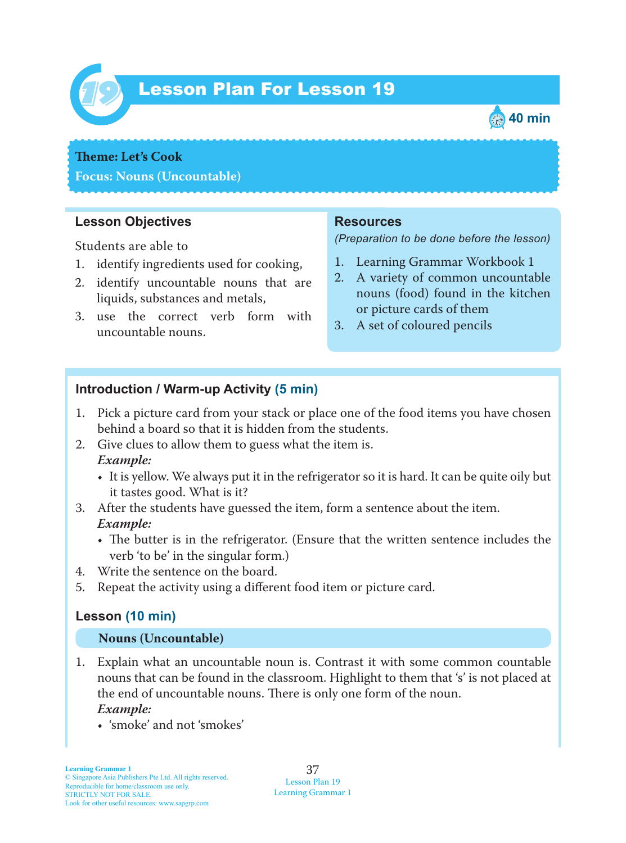

# Lesson Plan For Lesson 19 *19*



## **Theme:** Let's Cook **Focus: Nouns (Uncountable)**

#### **Lesson Objectives**

Students are able to

- 1. identify ingredients used for cooking,
- 2. identify uncountable nouns that are liquids, substances and metals,
- 3. use the correct verb form with uncountable nouns.

#### **Resources**

*(Preparation to be done before the lesson)*

- 1. Learning Grammar Workbook 1
- 2. A variety of common uncountable nouns (food) found in the kitchen or picture cards of them
- 3. A set of coloured pencils

#### **Introduction / Warm-up Activity (5 min)**

- 1. Pick a picture card from your stack or place one of the food items you have chosen behind a board so that it is hidden from the students.
- 2. Give clues to allow them to guess what the item is.  *Example:*
	- It is yellow. We always put it in the refrigerator so it is hard. It can be quite oily but it tastes good. What is it?
- 3. After the students have guessed the item, form a sentence about the item.  *Example:*
	- The butter is in the refrigerator. (Ensure that the written sentence includes the verb 'to be' in the singular form.)
- 4. Write the sentence on the board.
- 5. Repeat the activity using a different food item or picture card.

#### **Lesson (10 min)**

#### **Nouns (Uncountable)**

- 1. Explain what an uncountable noun is. Contrast it with some common countable nouns that can be found in the classroom. Highlight to them that 's' is not placed at the end of uncountable nouns. There is only one form of the noun.  *Example:*
	- 'smoke' and not 'smokes'